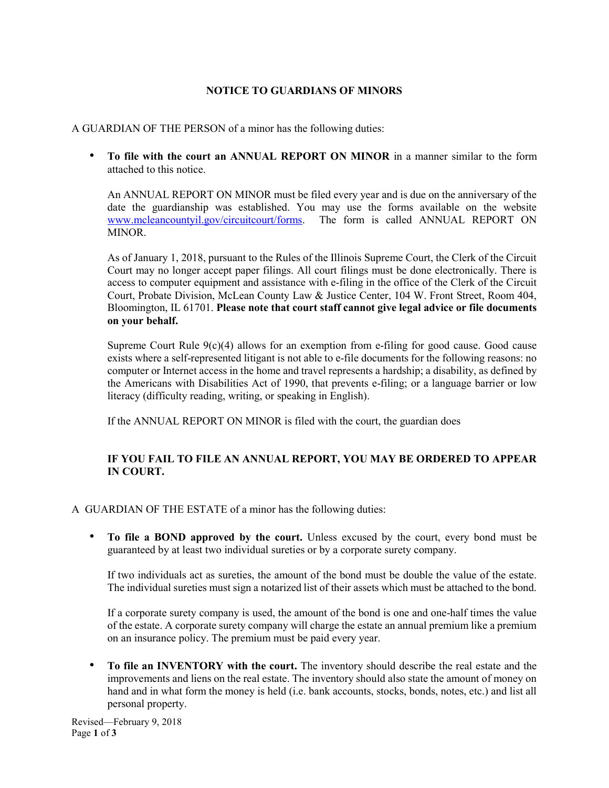# NOTICE TO GUARDIANS OF MINORS

### A GUARDIAN OF THE PERSON of a minor has the following duties:

To file with the court an ANNUAL REPORT ON MINOR in a manner similar to the form attached to this notice.

An ANNUAL REPORT ON MINOR must be filed every year and is due on the anniversary of the date the guardianship was established. You may use the forms available on the website www.mcleancountyil.gov/circuitcourt/forms. The form is called ANNUAL REPORT ON MINOR.

As of January 1, 2018, pursuant to the Rules of the Illinois Supreme Court, the Clerk of the Circuit Court may no longer accept paper filings. All court filings must be done electronically. There is access to computer equipment and assistance with e-filing in the office of the Clerk of the Circuit Court, Probate Division, McLean County Law & Justice Center, 104 W. Front Street, Room 404, Bloomington, IL 61701. Please note that court staff cannot give legal advice or file documents on your behalf.

Supreme Court Rule  $9(c)(4)$  allows for an exemption from e-filing for good cause. Good cause exists where a self-represented litigant is not able to e-file documents for the following reasons: no computer or Internet access in the home and travel represents a hardship; a disability, as defined by the Americans with Disabilities Act of 1990, that prevents e-filing; or a language barrier or low literacy (difficulty reading, writing, or speaking in English).

If the ANNUAL REPORT ON MINOR is filed with the court, the guardian does

### IF YOU FAIL TO FILE AN ANNUAL REPORT, YOU MAY BE ORDERED TO APPEAR IN COURT.

### A GUARDIAN OF THE ESTATE of a minor has the following duties:

• To file a BOND approved by the court. Unless excused by the court, every bond must be guaranteed by at least two individual sureties or by a corporate surety company.

If two individuals act as sureties, the amount of the bond must be double the value of the estate. The individual sureties must sign a notarized list of their assets which must be attached to the bond.

If a corporate surety company is used, the amount of the bond is one and one-half times the value of the estate. A corporate surety company will charge the estate an annual premium like a premium on an insurance policy. The premium must be paid every year.

• To file an INVENTORY with the court. The inventory should describe the real estate and the improvements and liens on the real estate. The inventory should also state the amount of money on hand and in what form the money is held (i.e. bank accounts, stocks, bonds, notes, etc.) and list all personal property.

Revised—February 9, 2018 Page 1 of 3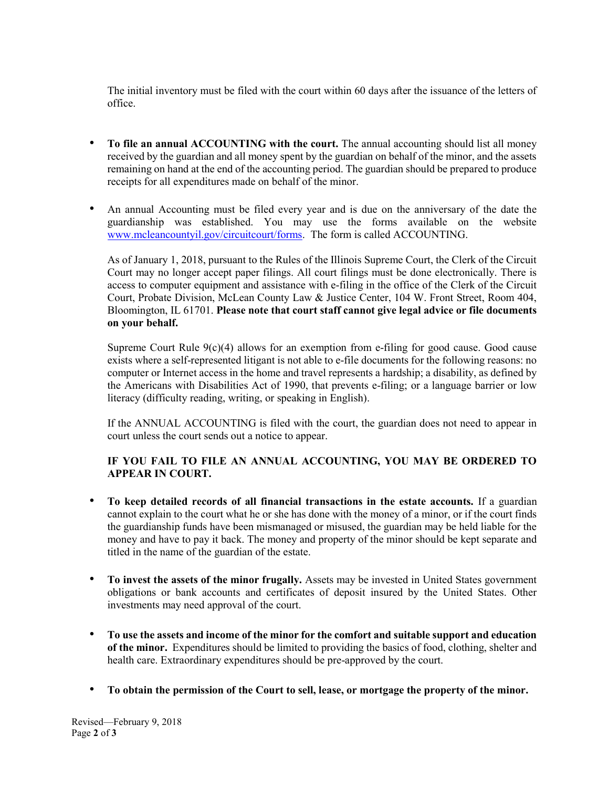The initial inventory must be filed with the court within 60 days after the issuance of the letters of office.

- To file an annual ACCOUNTING with the court. The annual accounting should list all money received by the guardian and all money spent by the guardian on behalf of the minor, and the assets remaining on hand at the end of the accounting period. The guardian should be prepared to produce receipts for all expenditures made on behalf of the minor.
- An annual Accounting must be filed every year and is due on the anniversary of the date the guardianship was established. You may use the forms available on the website www.mcleancountyil.gov/circuitcourt/forms. The form is called ACCOUNTING.

As of January 1, 2018, pursuant to the Rules of the Illinois Supreme Court, the Clerk of the Circuit Court may no longer accept paper filings. All court filings must be done electronically. There is access to computer equipment and assistance with e-filing in the office of the Clerk of the Circuit Court, Probate Division, McLean County Law & Justice Center, 104 W. Front Street, Room 404, Bloomington, IL 61701. Please note that court staff cannot give legal advice or file documents on your behalf.

Supreme Court Rule  $9(c)(4)$  allows for an exemption from e-filing for good cause. Good cause exists where a self-represented litigant is not able to e-file documents for the following reasons: no computer or Internet access in the home and travel represents a hardship; a disability, as defined by the Americans with Disabilities Act of 1990, that prevents e-filing; or a language barrier or low literacy (difficulty reading, writing, or speaking in English).

If the ANNUAL ACCOUNTING is filed with the court, the guardian does not need to appear in court unless the court sends out a notice to appear.

# IF YOU FAIL TO FILE AN ANNUAL ACCOUNTING, YOU MAY BE ORDERED TO APPEAR IN COURT.

- To keep detailed records of all financial transactions in the estate accounts. If a guardian cannot explain to the court what he or she has done with the money of a minor, or if the court finds the guardianship funds have been mismanaged or misused, the guardian may be held liable for the money and have to pay it back. The money and property of the minor should be kept separate and titled in the name of the guardian of the estate.
- To invest the assets of the minor frugally. Assets may be invested in United States government obligations or bank accounts and certificates of deposit insured by the United States. Other investments may need approval of the court.
- To use the assets and income of the minor for the comfort and suitable support and education of the minor. Expenditures should be limited to providing the basics of food, clothing, shelter and health care. Extraordinary expenditures should be pre-approved by the court.
- To obtain the permission of the Court to sell, lease, or mortgage the property of the minor.